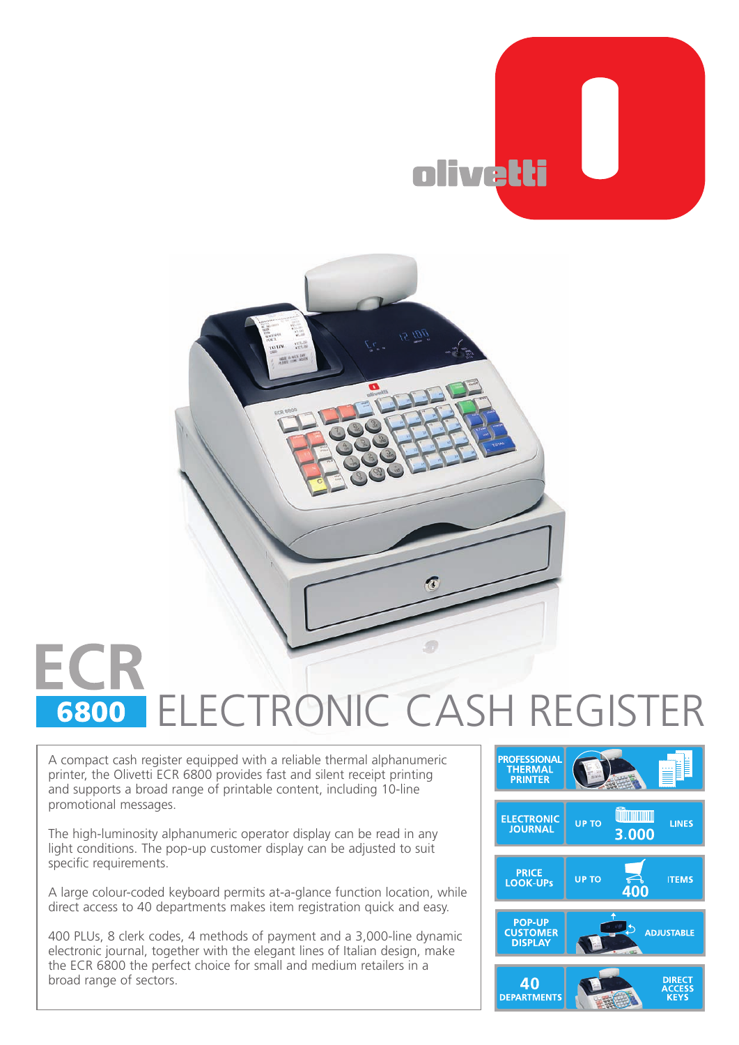



## ECF ELECTRONIC CASH REGISTER6800

A compact cash register equipped with a reliable thermal alphanumeric printer, the Olivetti ECR 6800 provides fast and silent receipt printing and supports a broad range of printable content, including 10-line promotional messages.

The high-luminosity alphanumeric operator display can be read in any light conditions. The pop-up customer display can be adjusted to suit specific requirements.

A large colour-coded keyboard permits at-a-glance function location, while direct access to 40 departments makes item registration quick and easy.

400 PLUs, 8 clerk codes, 4 methods of payment and a 3,000-line dynamic electronic journal, together with the elegant lines of Italian design, make the ECR 6800 the perfect choice for small and medium retailers in a broad range of sectors.